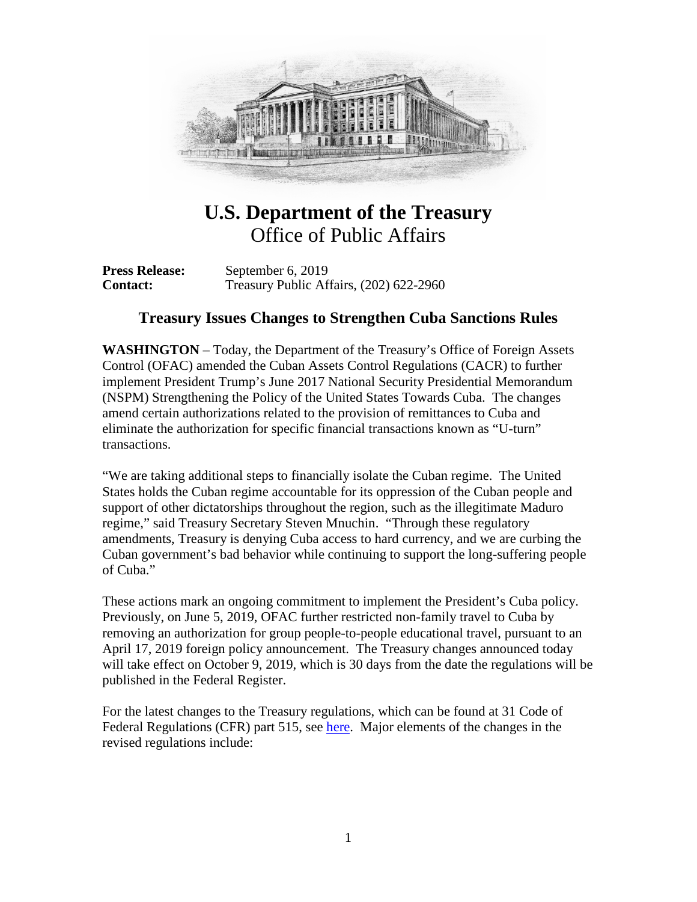

## **U.S. Department of the Treasury**  Office of Public Affairs

**Press Release:** September 6, 2019 **Contact:** Treasury Public Affairs, (202) 622-2960

## **Treasury Issues Changes to Strengthen Cuba Sanctions Rules**

**WASHINGTON** – Today, the Department of the Treasury's Office of Foreign Assets Control (OFAC) amended the Cuban Assets Control Regulations (CACR) to further implement President Trump's June 2017 National Security Presidential Memorandum (NSPM) Strengthening the Policy of the United States Towards Cuba. The changes amend certain authorizations related to the provision of remittances to Cuba and eliminate the authorization for specific financial transactions known as "U-turn" transactions.

"We are taking additional steps to financially isolate the Cuban regime. The United States holds the Cuban regime accountable for its oppression of the Cuban people and support of other dictatorships throughout the region, such as the illegitimate Maduro regime," said Treasury Secretary Steven Mnuchin. "Through these regulatory amendments, Treasury is denying Cuba access to hard currency, and we are curbing the Cuban government's bad behavior while continuing to support the long-suffering people of Cuba."

These actions mark an ongoing commitment to implement the President's Cuba policy. Previously, on June 5, 2019, OFAC further restricted non-family travel to Cuba by removing an authorization for group people-to-people educational travel, pursuant to an April 17, 2019 foreign policy announcement. The Treasury changes announced today will take effect on October 9, 2019, which is 30 days from the date the regulations will be published in the Federal Register.

For the latest changes to the Treasury regulations, which can be found at 31 Code of Federal Regulations (CFR) part 515, see [here.](https://www.federalregister.gov/documents/2019/09/09/2019-19411/cuban-assets-control-regulations) Major elements of the changes in the revised regulations include: